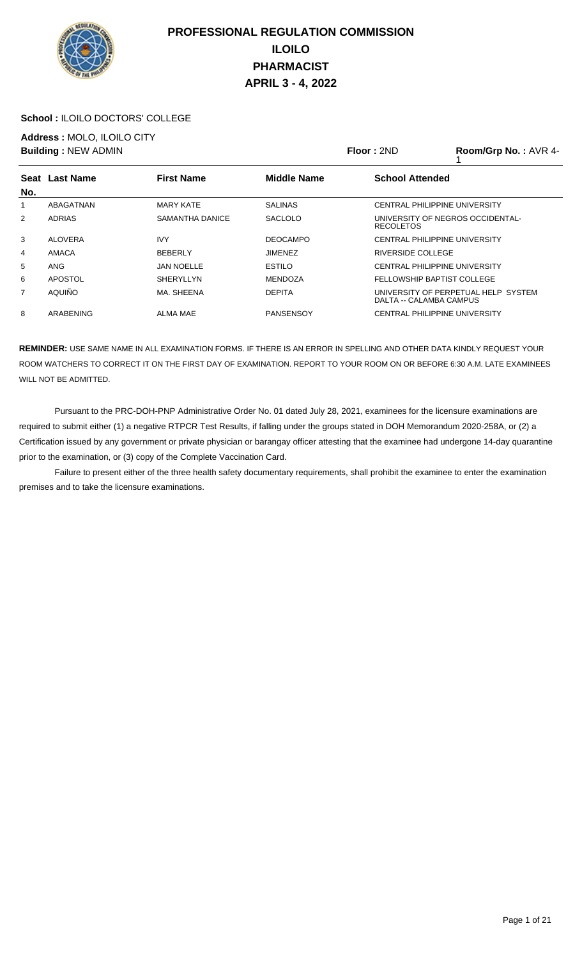

### **School :** ILOILO DOCTORS' COLLEGE

**Address :** MOLO, ILOILO CITY

|     | <b>Building: NEW ADMIN</b> |                   | Floor: 2ND         | Room/Grp No.: AVR 4-    |                                      |
|-----|----------------------------|-------------------|--------------------|-------------------------|--------------------------------------|
| No. | Seat Last Name             | <b>First Name</b> | <b>Middle Name</b> | <b>School Attended</b>  |                                      |
| 1   | ABAGATNAN                  | <b>MARY KATE</b>  | <b>SALINAS</b>     |                         | <b>CENTRAL PHILIPPINE UNIVERSITY</b> |
| 2   | <b>ADRIAS</b>              | SAMANTHA DANICE   | <b>SACLOLO</b>     | <b>RECOLETOS</b>        | UNIVERSITY OF NEGROS OCCIDENTAL-     |
| 3   | <b>ALOVERA</b>             | <b>IVY</b>        | <b>DEOCAMPO</b>    |                         | CENTRAL PHILIPPINE UNIVERSITY        |
| 4   | AMACA                      | <b>BEBERLY</b>    | <b>JIMENEZ</b>     | RIVERSIDE COLLEGE       |                                      |
| 5   | ANG                        | <b>JAN NOELLE</b> | <b>ESTILO</b>      |                         | CENTRAL PHILIPPINE UNIVERSITY        |
| 6   | APOSTOL                    | <b>SHERYLLYN</b>  | <b>MENDOZA</b>     |                         | FELLOWSHIP BAPTIST COLLEGE           |
| 7   | AQUIÑO                     | MA. SHEENA        | <b>DEPITA</b>      | DALTA -- CALAMBA CAMPUS | UNIVERSITY OF PERPETUAL HELP SYSTEM  |
| 8   | ARABENING                  | <b>ALMA MAE</b>   | <b>PANSENSOY</b>   |                         | CENTRAL PHILIPPINE UNIVERSITY        |

**REMINDER:** USE SAME NAME IN ALL EXAMINATION FORMS. IF THERE IS AN ERROR IN SPELLING AND OTHER DATA KINDLY REQUEST YOUR ROOM WATCHERS TO CORRECT IT ON THE FIRST DAY OF EXAMINATION. REPORT TO YOUR ROOM ON OR BEFORE 6:30 A.M. LATE EXAMINEES WILL NOT BE ADMITTED.

 Pursuant to the PRC-DOH-PNP Administrative Order No. 01 dated July 28, 2021, examinees for the licensure examinations are required to submit either (1) a negative RTPCR Test Results, if falling under the groups stated in DOH Memorandum 2020-258A, or (2) a Certification issued by any government or private physician or barangay officer attesting that the examinee had undergone 14-day quarantine prior to the examination, or (3) copy of the Complete Vaccination Card.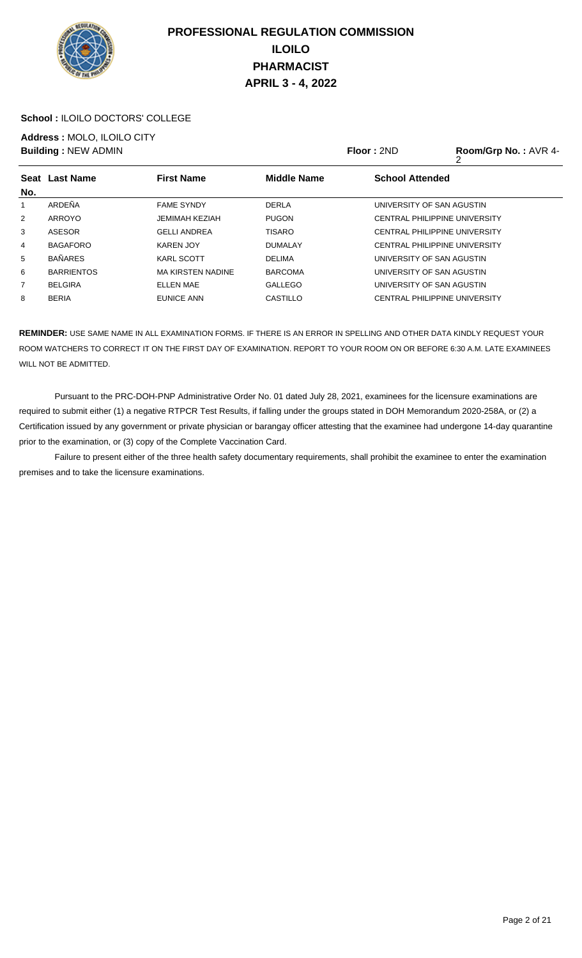

### **School :** ILOILO DOCTORS' COLLEGE

**Address :** MOLO, ILOILO CITY

|     | <b>Building: NEW ADMIN</b> |                          |                    | <b>Floor: 2ND</b>                    | Room/Grp No.: AVR 4- |
|-----|----------------------------|--------------------------|--------------------|--------------------------------------|----------------------|
| No. | Seat Last Name             | <b>First Name</b>        | <b>Middle Name</b> | <b>School Attended</b>               |                      |
| 1   | ARDEÑA                     | <b>FAME SYNDY</b>        | <b>DERLA</b>       | UNIVERSITY OF SAN AGUSTIN            |                      |
| 2   | ARROYO                     | <b>JEMIMAH KEZIAH</b>    | <b>PUGON</b>       | CENTRAL PHILIPPINE UNIVERSITY        |                      |
| 3   | <b>ASESOR</b>              | <b>GELLI ANDREA</b>      | <b>TISARO</b>      | <b>CENTRAL PHILIPPINE UNIVERSITY</b> |                      |
| 4   | <b>BAGAFORO</b>            | KAREN JOY                | <b>DUMALAY</b>     | <b>CENTRAL PHILIPPINE UNIVERSITY</b> |                      |
| 5   | <b>BAÑARES</b>             | <b>KARL SCOTT</b>        | <b>DELIMA</b>      | UNIVERSITY OF SAN AGUSTIN            |                      |
| 6   | <b>BARRIENTOS</b>          | <b>MA KIRSTEN NADINE</b> | <b>BARCOMA</b>     | UNIVERSITY OF SAN AGUSTIN            |                      |
| 7   | <b>BELGIRA</b>             | <b>ELLEN MAE</b>         | <b>GALLEGO</b>     | UNIVERSITY OF SAN AGUSTIN            |                      |
| 8   | <b>BERIA</b>               | EUNICE ANN               | CASTILLO           | <b>CENTRAL PHILIPPINE UNIVERSITY</b> |                      |

**REMINDER:** USE SAME NAME IN ALL EXAMINATION FORMS. IF THERE IS AN ERROR IN SPELLING AND OTHER DATA KINDLY REQUEST YOUR ROOM WATCHERS TO CORRECT IT ON THE FIRST DAY OF EXAMINATION. REPORT TO YOUR ROOM ON OR BEFORE 6:30 A.M. LATE EXAMINEES WILL NOT BE ADMITTED.

 Pursuant to the PRC-DOH-PNP Administrative Order No. 01 dated July 28, 2021, examinees for the licensure examinations are required to submit either (1) a negative RTPCR Test Results, if falling under the groups stated in DOH Memorandum 2020-258A, or (2) a Certification issued by any government or private physician or barangay officer attesting that the examinee had undergone 14-day quarantine prior to the examination, or (3) copy of the Complete Vaccination Card.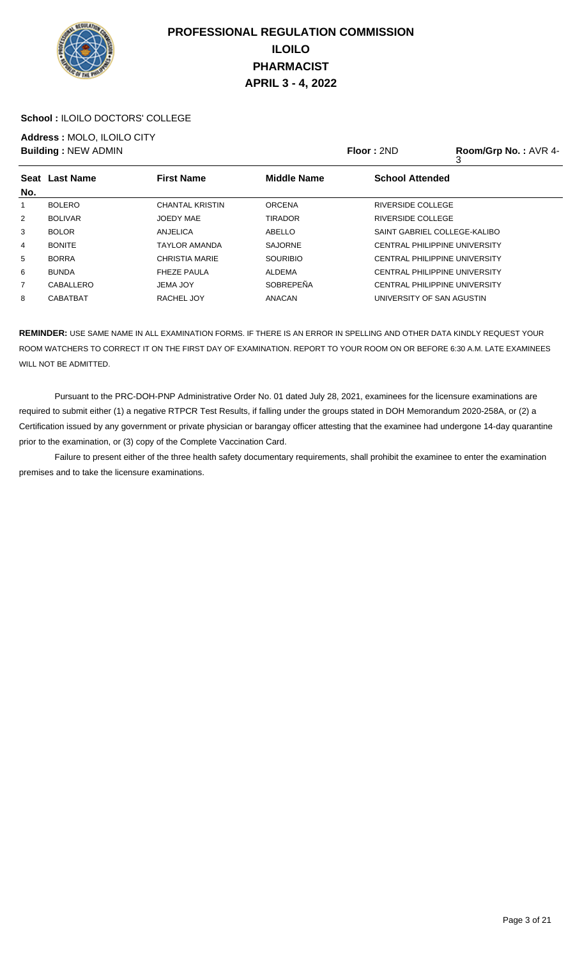

### **School :** ILOILO DOCTORS' COLLEGE

**Address :** MOLO, ILOILO CITY

|                | <b>Building: NEW ADMIN</b> |                        |                    | Floor: 2ND<br>Room/Grp No.: AVR 4-<br>3 |                                      |  |
|----------------|----------------------------|------------------------|--------------------|-----------------------------------------|--------------------------------------|--|
|                | Seat Last Name             | <b>First Name</b>      | <b>Middle Name</b> | <b>School Attended</b>                  |                                      |  |
| No.            |                            |                        |                    |                                         |                                      |  |
| 1              | <b>BOLERO</b>              | <b>CHANTAL KRISTIN</b> | <b>ORCENA</b>      | <b>RIVERSIDE COLLEGE</b>                |                                      |  |
| $\overline{2}$ | <b>BOLIVAR</b>             | <b>JOEDY MAE</b>       | <b>TIRADOR</b>     | <b>RIVERSIDE COLLEGE</b>                |                                      |  |
| 3              | <b>BOLOR</b>               | ANJELICA               | ABELLO             |                                         | SAINT GABRIEL COLLEGE-KALIBO         |  |
| $\overline{4}$ | <b>BONITE</b>              | <b>TAYLOR AMANDA</b>   | <b>SAJORNE</b>     |                                         | <b>CENTRAL PHILIPPINE UNIVERSITY</b> |  |
| 5              | <b>BORRA</b>               | <b>CHRISTIA MARIE</b>  | <b>SOURIBIO</b>    |                                         | <b>CENTRAL PHILIPPINE UNIVERSITY</b> |  |
| 6              | <b>BUNDA</b>               | <b>FHEZE PAULA</b>     | ALDEMA             |                                         | <b>CENTRAL PHILIPPINE UNIVERSITY</b> |  |
| $\overline{7}$ | CABALLERO                  | <b>JEMA JOY</b>        | <b>SOBREPEÑA</b>   |                                         | CENTRAL PHILIPPINE UNIVERSITY        |  |
| 8              | <b>CABATBAT</b>            | RACHEL JOY             | <b>ANACAN</b>      |                                         | UNIVERSITY OF SAN AGUSTIN            |  |

**REMINDER:** USE SAME NAME IN ALL EXAMINATION FORMS. IF THERE IS AN ERROR IN SPELLING AND OTHER DATA KINDLY REQUEST YOUR ROOM WATCHERS TO CORRECT IT ON THE FIRST DAY OF EXAMINATION. REPORT TO YOUR ROOM ON OR BEFORE 6:30 A.M. LATE EXAMINEES WILL NOT BE ADMITTED.

 Pursuant to the PRC-DOH-PNP Administrative Order No. 01 dated July 28, 2021, examinees for the licensure examinations are required to submit either (1) a negative RTPCR Test Results, if falling under the groups stated in DOH Memorandum 2020-258A, or (2) a Certification issued by any government or private physician or barangay officer attesting that the examinee had undergone 14-day quarantine prior to the examination, or (3) copy of the Complete Vaccination Card.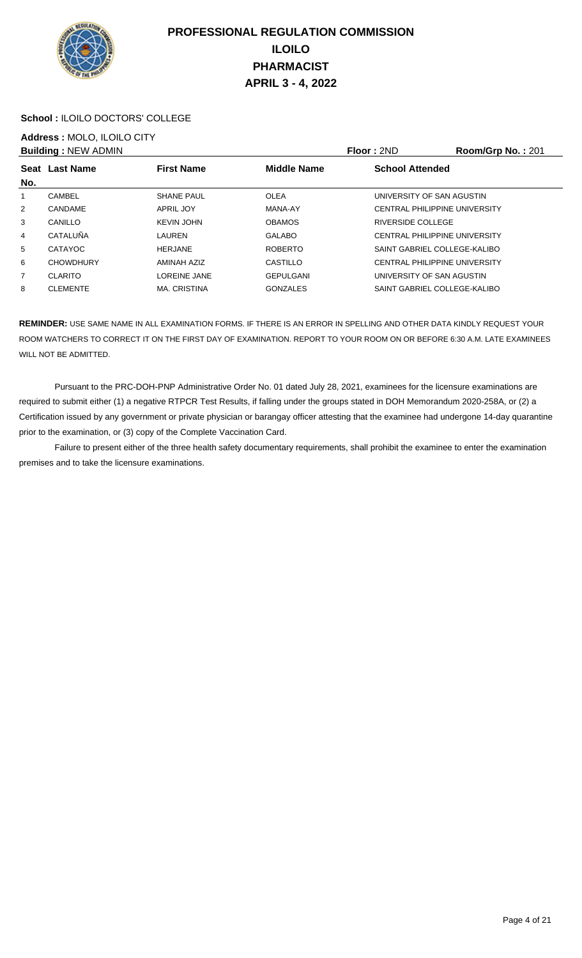

### **School :** ILOILO DOCTORS' COLLEGE

## **Address :** MOLO, ILOILO CITY

|                | <b>Building: NEW ADMIN</b> |                     |                    | Floor: 2ND                           | Room/Grp No.: 201 |
|----------------|----------------------------|---------------------|--------------------|--------------------------------------|-------------------|
| No.            | Seat Last Name             | <b>First Name</b>   | <b>Middle Name</b> | <b>School Attended</b>               |                   |
|                | CAMBEL                     | <b>SHANE PAUL</b>   | <b>OLEA</b>        | UNIVERSITY OF SAN AGUSTIN            |                   |
| 2              | CANDAME                    | APRIL JOY           | MANA-AY            | CENTRAL PHILIPPINE UNIVERSITY        |                   |
| 3              | CANILLO                    | <b>KEVIN JOHN</b>   | <b>OBAMOS</b>      | RIVERSIDE COLLEGE                    |                   |
| 4              | CATALUÑA                   | LAUREN              | <b>GALABO</b>      | <b>CENTRAL PHILIPPINE UNIVERSITY</b> |                   |
| 5              | CATAYOC                    | <b>HERJANE</b>      | <b>ROBERTO</b>     | SAINT GABRIEL COLLEGE-KALIBO         |                   |
| 6              | <b>CHOWDHURY</b>           | AMINAH AZIZ         | CASTILLO           | <b>CENTRAL PHILIPPINE UNIVERSITY</b> |                   |
| $\overline{7}$ | <b>CLARITO</b>             | LOREINE JANE        | <b>GEPULGANI</b>   | UNIVERSITY OF SAN AGUSTIN            |                   |
| 8              | <b>CLEMENTE</b>            | <b>MA. CRISTINA</b> | <b>GONZALES</b>    | SAINT GABRIEL COLLEGE-KALIBO         |                   |

**REMINDER:** USE SAME NAME IN ALL EXAMINATION FORMS. IF THERE IS AN ERROR IN SPELLING AND OTHER DATA KINDLY REQUEST YOUR ROOM WATCHERS TO CORRECT IT ON THE FIRST DAY OF EXAMINATION. REPORT TO YOUR ROOM ON OR BEFORE 6:30 A.M. LATE EXAMINEES WILL NOT BE ADMITTED.

 Pursuant to the PRC-DOH-PNP Administrative Order No. 01 dated July 28, 2021, examinees for the licensure examinations are required to submit either (1) a negative RTPCR Test Results, if falling under the groups stated in DOH Memorandum 2020-258A, or (2) a Certification issued by any government or private physician or barangay officer attesting that the examinee had undergone 14-day quarantine prior to the examination, or (3) copy of the Complete Vaccination Card.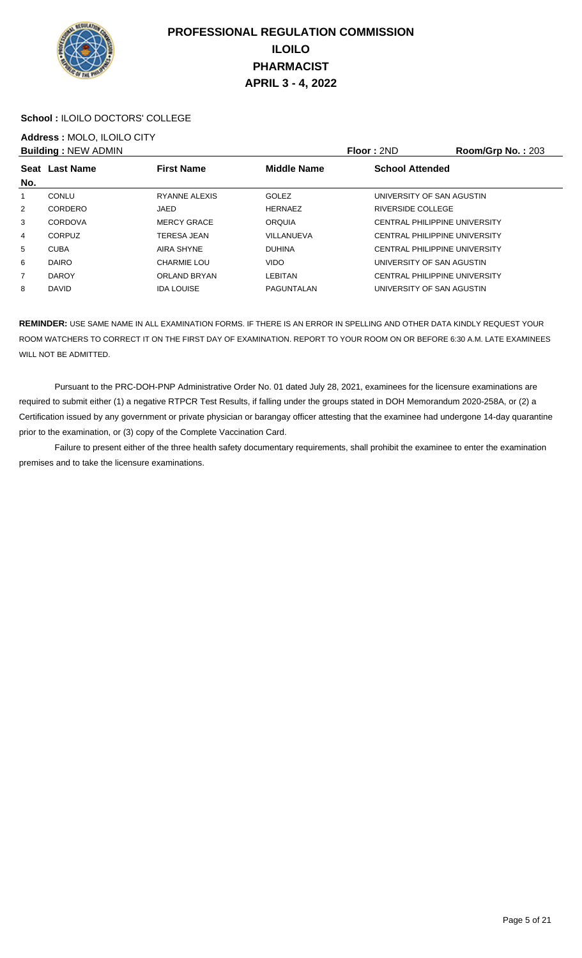

### **School :** ILOILO DOCTORS' COLLEGE

## **Address :** MOLO, ILOILO CITY

|                | <b>Building: NEW ADMIN</b> |                     |                    | Floor: 2ND                           | <b>Room/Grp No.: 203</b> |
|----------------|----------------------------|---------------------|--------------------|--------------------------------------|--------------------------|
| No.            | Seat Last Name             | <b>First Name</b>   | <b>Middle Name</b> | <b>School Attended</b>               |                          |
|                | CONLU                      | RYANNE ALEXIS       | <b>GOLEZ</b>       | UNIVERSITY OF SAN AGUSTIN            |                          |
| 2              | CORDERO                    | JAED                | <b>HERNAEZ</b>     | RIVERSIDE COLLEGE                    |                          |
| 3              | CORDOVA                    | <b>MERCY GRACE</b>  | <b>ORQUIA</b>      | CENTRAL PHILIPPINE UNIVERSITY        |                          |
| 4              | CORPUZ                     | TERESA JEAN         | VILLANUEVA         | CENTRAL PHILIPPINE UNIVERSITY        |                          |
| 5              | <b>CUBA</b>                | AIRA SHYNE          | <b>DUHINA</b>      | CENTRAL PHILIPPINE UNIVERSITY        |                          |
| 6              | <b>DAIRO</b>               | CHARMIE LOU         | <b>VIDO</b>        | UNIVERSITY OF SAN AGUSTIN            |                          |
| $\overline{7}$ | <b>DAROY</b>               | <b>ORLAND BRYAN</b> | <b>LEBITAN</b>     | <b>CENTRAL PHILIPPINE UNIVERSITY</b> |                          |
| 8              | <b>DAVID</b>               | <b>IDA LOUISE</b>   | PAGUNTALAN         | UNIVERSITY OF SAN AGUSTIN            |                          |

**REMINDER:** USE SAME NAME IN ALL EXAMINATION FORMS. IF THERE IS AN ERROR IN SPELLING AND OTHER DATA KINDLY REQUEST YOUR ROOM WATCHERS TO CORRECT IT ON THE FIRST DAY OF EXAMINATION. REPORT TO YOUR ROOM ON OR BEFORE 6:30 A.M. LATE EXAMINEES WILL NOT BE ADMITTED.

 Pursuant to the PRC-DOH-PNP Administrative Order No. 01 dated July 28, 2021, examinees for the licensure examinations are required to submit either (1) a negative RTPCR Test Results, if falling under the groups stated in DOH Memorandum 2020-258A, or (2) a Certification issued by any government or private physician or barangay officer attesting that the examinee had undergone 14-day quarantine prior to the examination, or (3) copy of the Complete Vaccination Card.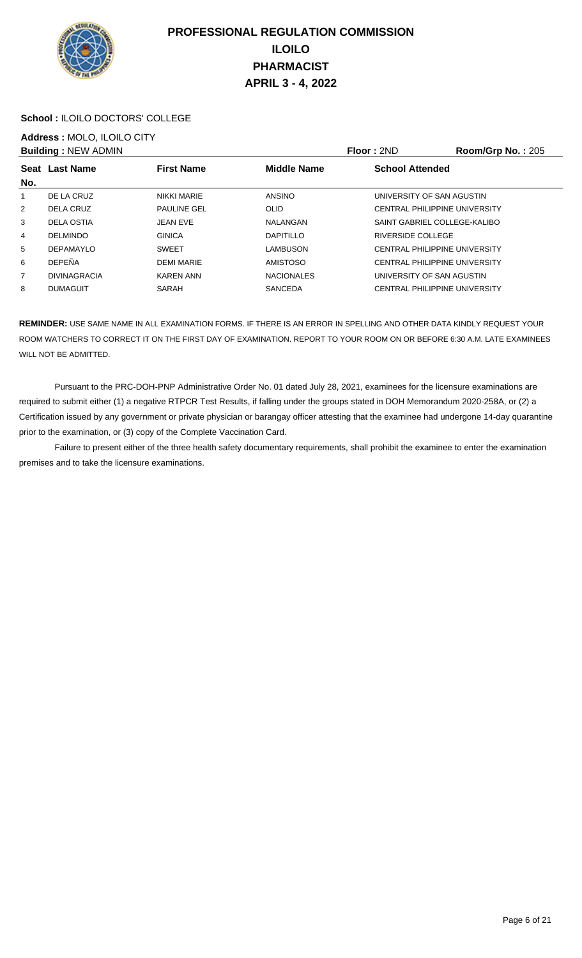

### **School :** ILOILO DOCTORS' COLLEGE

# **Address :** MOLO, ILOILO CITY

|                | <b>Building: NEW ADMIN</b> |                    |                    | Floor: 2ND                    | <b>Room/Grp No.: 205</b> |
|----------------|----------------------------|--------------------|--------------------|-------------------------------|--------------------------|
|                | Seat Last Name             | <b>First Name</b>  | <b>Middle Name</b> | <b>School Attended</b>        |                          |
| No.            |                            |                    |                    |                               |                          |
| 1              | DE LA CRUZ                 | <b>NIKKI MARIE</b> | <b>ANSINO</b>      | UNIVERSITY OF SAN AGUSTIN     |                          |
| 2              | DELA CRUZ                  | <b>PAULINE GEL</b> | OLID               | CENTRAL PHILIPPINE UNIVERSITY |                          |
| 3              | DELA OSTIA                 | <b>JEAN EVE</b>    | NALANGAN           | SAINT GABRIEL COLLEGE-KALIBO  |                          |
| 4              | <b>DELMINDO</b>            | <b>GINICA</b>      | <b>DAPITILLO</b>   | RIVERSIDE COLLEGE             |                          |
| 5              | <b>DEPAMAYLO</b>           | <b>SWEET</b>       | LAMBUSON           | CENTRAL PHILIPPINE UNIVERSITY |                          |
| 6              | <b>DEPEÑA</b>              | <b>DEMI MARIE</b>  | <b>AMISTOSO</b>    | CENTRAL PHILIPPINE UNIVERSITY |                          |
| $\overline{7}$ | <b>DIVINAGRACIA</b>        | <b>KAREN ANN</b>   | <b>NACIONALES</b>  | UNIVERSITY OF SAN AGUSTIN     |                          |
| 8              | <b>DUMAGUIT</b>            | SARAH              | <b>SANCEDA</b>     | CENTRAL PHILIPPINE UNIVERSITY |                          |

**REMINDER:** USE SAME NAME IN ALL EXAMINATION FORMS. IF THERE IS AN ERROR IN SPELLING AND OTHER DATA KINDLY REQUEST YOUR ROOM WATCHERS TO CORRECT IT ON THE FIRST DAY OF EXAMINATION. REPORT TO YOUR ROOM ON OR BEFORE 6:30 A.M. LATE EXAMINEES WILL NOT BE ADMITTED.

 Pursuant to the PRC-DOH-PNP Administrative Order No. 01 dated July 28, 2021, examinees for the licensure examinations are required to submit either (1) a negative RTPCR Test Results, if falling under the groups stated in DOH Memorandum 2020-258A, or (2) a Certification issued by any government or private physician or barangay officer attesting that the examinee had undergone 14-day quarantine prior to the examination, or (3) copy of the Complete Vaccination Card.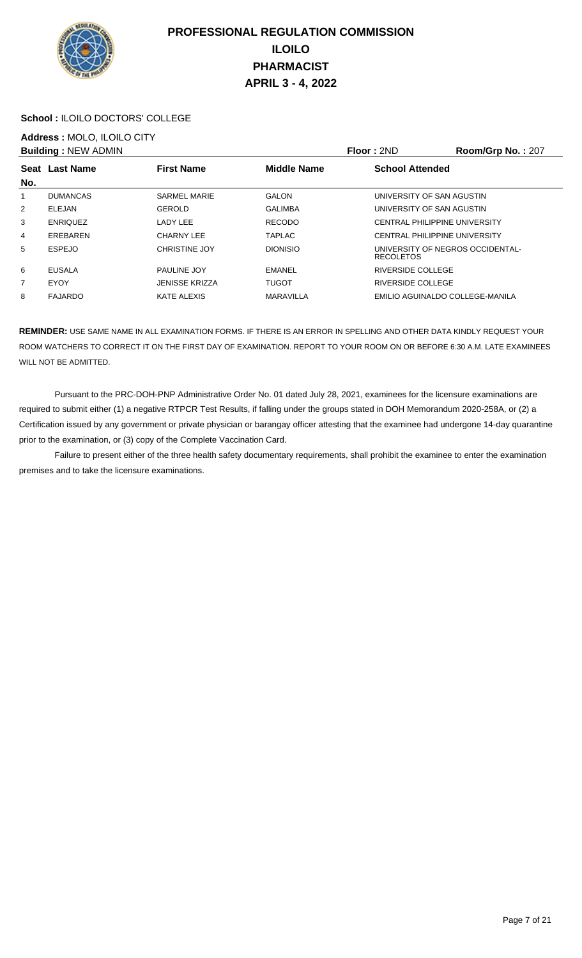

### **School :** ILOILO DOCTORS' COLLEGE

## **Address :** MOLO, ILOILO CITY

|                | <b>Building: NEW ADMIN</b> |                       |                    | Floor: 2ND                                           | <b>Room/Grp No.: 207</b> |
|----------------|----------------------------|-----------------------|--------------------|------------------------------------------------------|--------------------------|
| No.            | <b>Seat Last Name</b>      | <b>First Name</b>     | <b>Middle Name</b> | <b>School Attended</b>                               |                          |
| 1              | <b>DUMANCAS</b>            | <b>SARMEL MARIE</b>   | <b>GALON</b>       | UNIVERSITY OF SAN AGUSTIN                            |                          |
| $\overline{2}$ | ELEJAN                     | GEROLD                | <b>GALIMBA</b>     | UNIVERSITY OF SAN AGUSTIN                            |                          |
| 3              | <b>ENRIQUEZ</b>            | LADY LEE              | <b>RECODO</b>      | CENTRAL PHILIPPINE UNIVERSITY                        |                          |
| 4              | EREBAREN                   | CHARNY LEE            | <b>TAPLAC</b>      | CENTRAL PHILIPPINE UNIVERSITY                        |                          |
| 5              | <b>ESPEJO</b>              | <b>CHRISTINE JOY</b>  | <b>DIONISIO</b>    | UNIVERSITY OF NEGROS OCCIDENTAL-<br><b>RECOLETOS</b> |                          |
| 6              | EUSALA                     | <b>PAULINE JOY</b>    | EMANEL             | RIVERSIDE COLLEGE                                    |                          |
| $\overline{7}$ | EYOY                       | <b>JENISSE KRIZZA</b> | <b>TUGOT</b>       | RIVERSIDE COLLEGE                                    |                          |
| 8              | <b>FAJARDO</b>             | KATE ALEXIS           | MARAVILLA          | EMILIO AGUINALDO COLLEGE-MANILA                      |                          |

**REMINDER:** USE SAME NAME IN ALL EXAMINATION FORMS. IF THERE IS AN ERROR IN SPELLING AND OTHER DATA KINDLY REQUEST YOUR ROOM WATCHERS TO CORRECT IT ON THE FIRST DAY OF EXAMINATION. REPORT TO YOUR ROOM ON OR BEFORE 6:30 A.M. LATE EXAMINEES WILL NOT BE ADMITTED.

 Pursuant to the PRC-DOH-PNP Administrative Order No. 01 dated July 28, 2021, examinees for the licensure examinations are required to submit either (1) a negative RTPCR Test Results, if falling under the groups stated in DOH Memorandum 2020-258A, or (2) a Certification issued by any government or private physician or barangay officer attesting that the examinee had undergone 14-day quarantine prior to the examination, or (3) copy of the Complete Vaccination Card.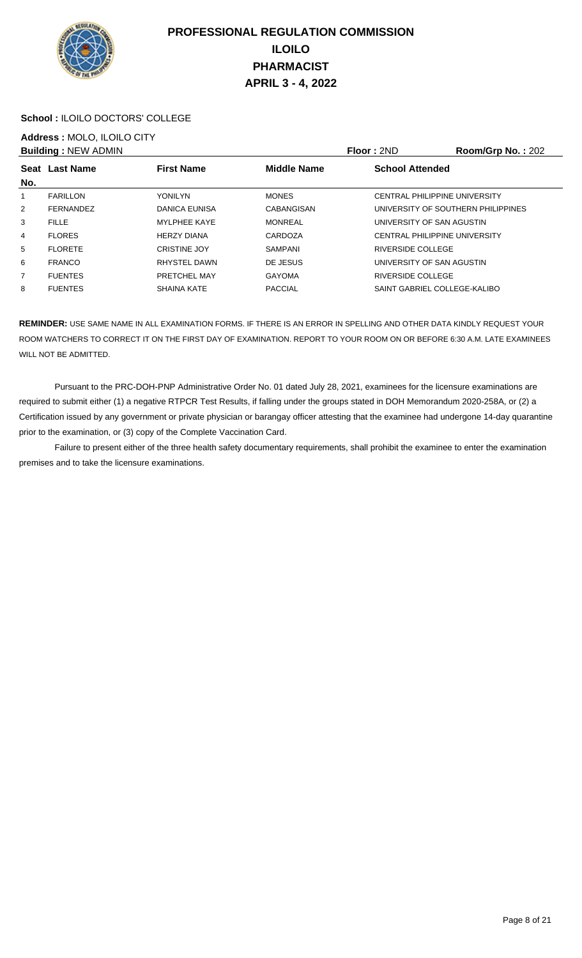

### **School :** ILOILO DOCTORS' COLLEGE

## **Address :** MOLO, ILOILO CITY

|                | <b>Building: NEW ADMIN</b> |                     |                    | Floor: 2ND                           | <b>Room/Grp No.: 202</b> |
|----------------|----------------------------|---------------------|--------------------|--------------------------------------|--------------------------|
|                | Seat Last Name             | <b>First Name</b>   | <b>Middle Name</b> | <b>School Attended</b>               |                          |
| No.            |                            |                     |                    |                                      |                          |
| 1              | <b>FARILLON</b>            | <b>YONILYN</b>      | <b>MONES</b>       | CENTRAL PHILIPPINE UNIVERSITY        |                          |
| 2              | <b>FERNANDEZ</b>           | DANICA EUNISA       | <b>CABANGISAN</b>  | UNIVERSITY OF SOUTHERN PHILIPPINES   |                          |
| 3              | <b>FILLE</b>               | <b>MYLPHEE KAYE</b> | <b>MONREAL</b>     | UNIVERSITY OF SAN AGUSTIN            |                          |
| 4              | <b>FLORES</b>              | <b>HERZY DIANA</b>  | CARDOZA            | <b>CENTRAL PHILIPPINE UNIVERSITY</b> |                          |
| 5              | <b>FLORETE</b>             | <b>CRISTINE JOY</b> | <b>SAMPANI</b>     | RIVERSIDE COLLEGE                    |                          |
| 6              | <b>FRANCO</b>              | RHYSTEL DAWN        | DE JESUS           | UNIVERSITY OF SAN AGUSTIN            |                          |
| $\overline{7}$ | <b>FUENTES</b>             | PRETCHEL MAY        | <b>GAYOMA</b>      | RIVERSIDE COLLEGE                    |                          |
| 8              | <b>FUENTES</b>             | <b>SHAINA KATE</b>  | <b>PACCIAL</b>     | SAINT GABRIEL COLLEGE-KALIBO         |                          |

**REMINDER:** USE SAME NAME IN ALL EXAMINATION FORMS. IF THERE IS AN ERROR IN SPELLING AND OTHER DATA KINDLY REQUEST YOUR ROOM WATCHERS TO CORRECT IT ON THE FIRST DAY OF EXAMINATION. REPORT TO YOUR ROOM ON OR BEFORE 6:30 A.M. LATE EXAMINEES WILL NOT BE ADMITTED.

 Pursuant to the PRC-DOH-PNP Administrative Order No. 01 dated July 28, 2021, examinees for the licensure examinations are required to submit either (1) a negative RTPCR Test Results, if falling under the groups stated in DOH Memorandum 2020-258A, or (2) a Certification issued by any government or private physician or barangay officer attesting that the examinee had undergone 14-day quarantine prior to the examination, or (3) copy of the Complete Vaccination Card.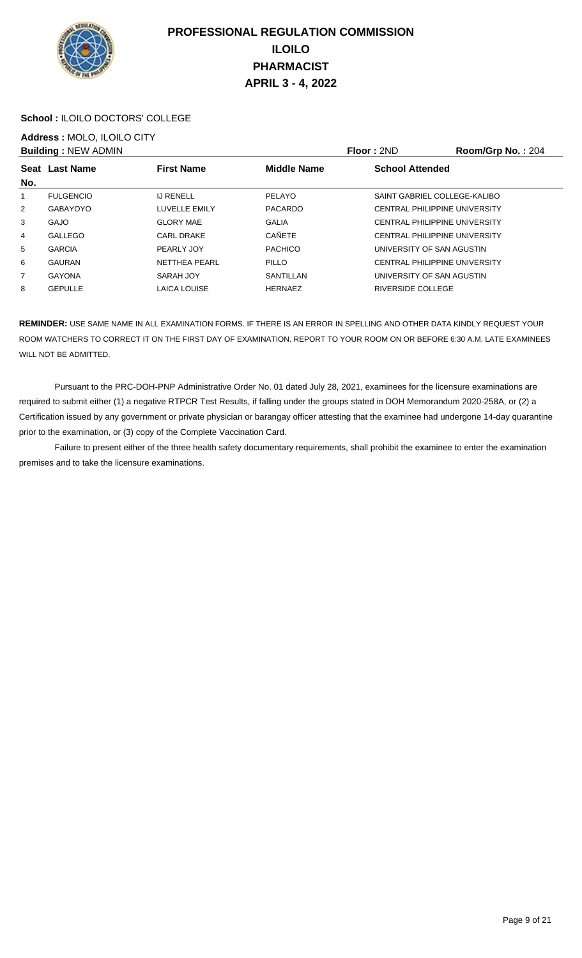

### **School :** ILOILO DOCTORS' COLLEGE

## **Address :** MOLO, ILOILO CITY

|                | <b>Building: NEW ADMIN</b> |                      |                    | <b>Floor: 2ND</b>                    | Room/Grp No.: 204 |
|----------------|----------------------------|----------------------|--------------------|--------------------------------------|-------------------|
|                | Seat Last Name             | <b>First Name</b>    | <b>Middle Name</b> | <b>School Attended</b>               |                   |
| No.            |                            |                      |                    |                                      |                   |
| 1              | <b>FULGENCIO</b>           | <b>IJ RENELL</b>     | PELAYO             | SAINT GABRIEL COLLEGE-KALIBO         |                   |
| 2              | GABAYOYO                   | LUVELLE EMILY        | <b>PACARDO</b>     | <b>CENTRAL PHILIPPINE UNIVERSITY</b> |                   |
| $\mathbf{3}$   | <b>GAJO</b>                | <b>GLORY MAE</b>     | <b>GALIA</b>       | <b>CENTRAL PHILIPPINE UNIVERSITY</b> |                   |
| 4              | GALLEGO                    | <b>CARL DRAKE</b>    | CAÑETE             | <b>CENTRAL PHILIPPINE UNIVERSITY</b> |                   |
| 5              | <b>GARCIA</b>              | PEARLY JOY           | <b>PACHICO</b>     | UNIVERSITY OF SAN AGUSTIN            |                   |
| 6              | GAURAN                     | <b>NETTHEA PEARL</b> | <b>PILLO</b>       | <b>CENTRAL PHILIPPINE UNIVERSITY</b> |                   |
| $\overline{7}$ | <b>GAYONA</b>              | SARAH JOY            | SANTILLAN          | UNIVERSITY OF SAN AGUSTIN            |                   |
| 8              | <b>GEPULLE</b>             | <b>LAICA LOUISE</b>  | <b>HERNAEZ</b>     | <b>RIVERSIDE COLLEGE</b>             |                   |

**REMINDER:** USE SAME NAME IN ALL EXAMINATION FORMS. IF THERE IS AN ERROR IN SPELLING AND OTHER DATA KINDLY REQUEST YOUR ROOM WATCHERS TO CORRECT IT ON THE FIRST DAY OF EXAMINATION. REPORT TO YOUR ROOM ON OR BEFORE 6:30 A.M. LATE EXAMINEES WILL NOT BE ADMITTED.

 Pursuant to the PRC-DOH-PNP Administrative Order No. 01 dated July 28, 2021, examinees for the licensure examinations are required to submit either (1) a negative RTPCR Test Results, if falling under the groups stated in DOH Memorandum 2020-258A, or (2) a Certification issued by any government or private physician or barangay officer attesting that the examinee had undergone 14-day quarantine prior to the examination, or (3) copy of the Complete Vaccination Card.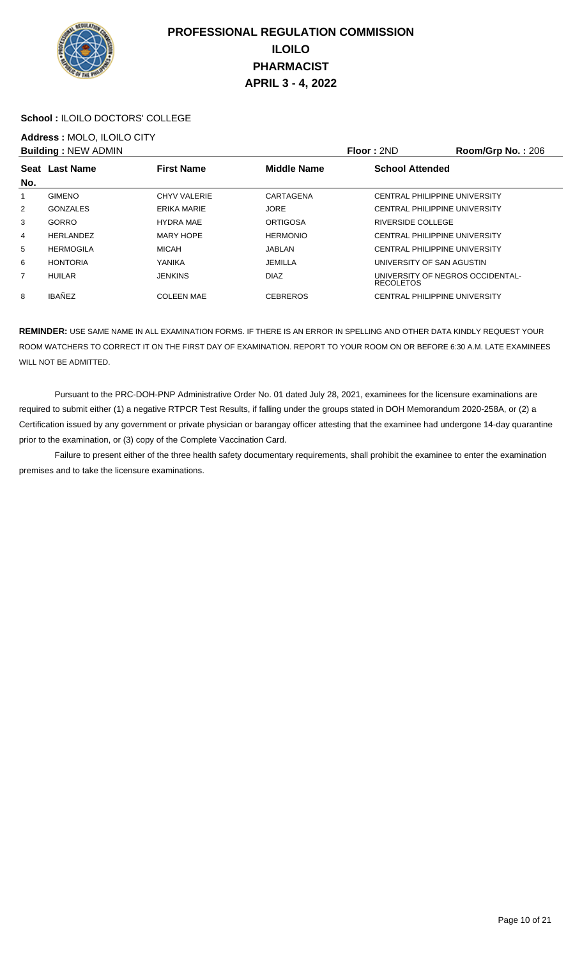

### **School :** ILOILO DOCTORS' COLLEGE

## **Address :** MOLO, ILOILO CITY

|                | <b>Building: NEW ADMIN</b> |                   |                    | Floor: 2ND                                           | <b>Room/Grp No.: 206</b> |
|----------------|----------------------------|-------------------|--------------------|------------------------------------------------------|--------------------------|
| No.            | Seat Last Name             | <b>First Name</b> | <b>Middle Name</b> | <b>School Attended</b>                               |                          |
| 1              | <b>GIMENO</b>              | CHYV VALERIE      | CARTAGENA          | CENTRAL PHILIPPINE UNIVERSITY                        |                          |
| $\overline{2}$ | GONZALES                   | ERIKA MARIE       | <b>JORE</b>        | CENTRAL PHILIPPINE UNIVERSITY                        |                          |
| 3              | GORRO                      | <b>HYDRA MAE</b>  | <b>ORTIGOSA</b>    | RIVERSIDE COLLEGE                                    |                          |
| $\overline{4}$ | <b>HERLANDEZ</b>           | <b>MARY HOPE</b>  | <b>HERMONIO</b>    | <b>CENTRAL PHILIPPINE UNIVERSITY</b>                 |                          |
| 5              | <b>HERMOGILA</b>           | <b>MICAH</b>      | JABLAN             | CENTRAL PHILIPPINE UNIVERSITY                        |                          |
| 6              | <b>HONTORIA</b>            | YANIKA            | <b>JEMILLA</b>     | UNIVERSITY OF SAN AGUSTIN                            |                          |
| $\overline{7}$ | <b>HUILAR</b>              | <b>JENKINS</b>    | <b>DIAZ</b>        | UNIVERSITY OF NEGROS OCCIDENTAL-<br><b>RECOLETOS</b> |                          |
| 8              | <b>IBAÑEZ</b>              | <b>COLEEN MAE</b> | <b>CEBREROS</b>    | <b>CENTRAL PHILIPPINE UNIVERSITY</b>                 |                          |
|                |                            |                   |                    |                                                      |                          |

**REMINDER:** USE SAME NAME IN ALL EXAMINATION FORMS. IF THERE IS AN ERROR IN SPELLING AND OTHER DATA KINDLY REQUEST YOUR ROOM WATCHERS TO CORRECT IT ON THE FIRST DAY OF EXAMINATION. REPORT TO YOUR ROOM ON OR BEFORE 6:30 A.M. LATE EXAMINEES WILL NOT BE ADMITTED.

 Pursuant to the PRC-DOH-PNP Administrative Order No. 01 dated July 28, 2021, examinees for the licensure examinations are required to submit either (1) a negative RTPCR Test Results, if falling under the groups stated in DOH Memorandum 2020-258A, or (2) a Certification issued by any government or private physician or barangay officer attesting that the examinee had undergone 14-day quarantine prior to the examination, or (3) copy of the Complete Vaccination Card.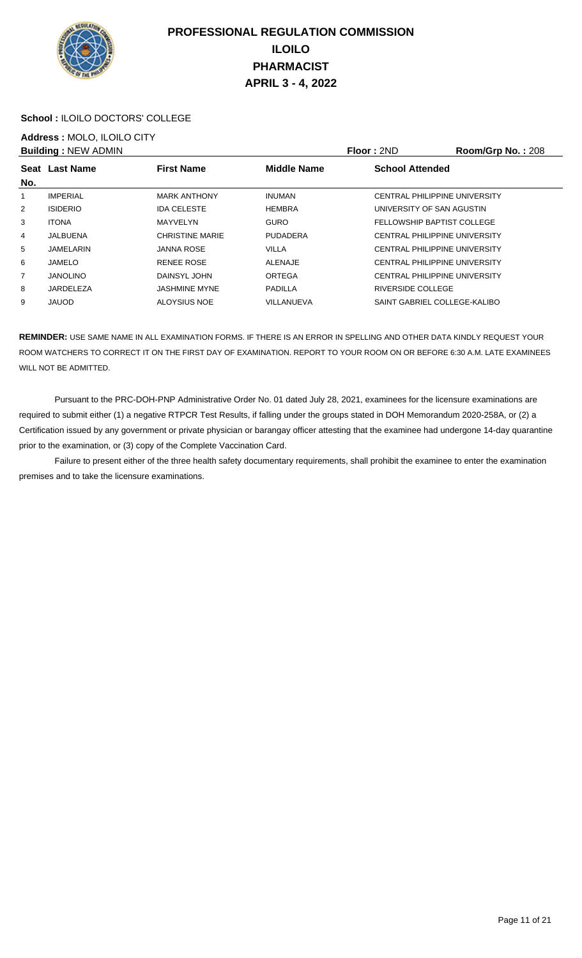

### **School :** ILOILO DOCTORS' COLLEGE

## **Address :** MOLO, ILOILO CITY

|                | <b>Building: NEW ADMIN</b> |                        |                    | Floor: 2ND                    | Room/Grp No.: 208 |
|----------------|----------------------------|------------------------|--------------------|-------------------------------|-------------------|
|                | Seat Last Name             | <b>First Name</b>      | <b>Middle Name</b> | <b>School Attended</b>        |                   |
| No.            |                            |                        |                    |                               |                   |
|                | <b>IMPERIAL</b>            | <b>MARK ANTHONY</b>    | <b>INUMAN</b>      | CENTRAL PHILIPPINE UNIVERSITY |                   |
| $\overline{2}$ | <b>ISIDERIO</b>            | <b>IDA CELESTE</b>     | <b>HEMBRA</b>      | UNIVERSITY OF SAN AGUSTIN     |                   |
| 3              | <b>ITONA</b>               | MAYVELYN               | <b>GURO</b>        | FELLOWSHIP BAPTIST COLLEGE    |                   |
| 4              | JALBUENA                   | <b>CHRISTINE MARIE</b> | <b>PUDADERA</b>    | CENTRAL PHILIPPINE UNIVERSITY |                   |
| 5              | JAMELARIN                  | JANNA ROSE             | <b>VILLA</b>       | CENTRAL PHILIPPINE UNIVERSITY |                   |
| 6              | JAMELO                     | <b>RENEE ROSE</b>      | <b>ALENAJE</b>     | CENTRAL PHILIPPINE UNIVERSITY |                   |
| 7              | <b>JANOLINO</b>            | DAINSYL JOHN           | <b>ORTEGA</b>      | CENTRAL PHILIPPINE UNIVERSITY |                   |
| 8              | JARDELEZA                  | <b>JASHMINE MYNE</b>   | <b>PADILLA</b>     | RIVERSIDE COLLEGE             |                   |
| 9              | <b>JAUOD</b>               | ALOYSIUS NOE           | VILLANUEVA         | SAINT GABRIEL COLLEGE-KALIBO  |                   |
|                |                            |                        |                    |                               |                   |

**REMINDER:** USE SAME NAME IN ALL EXAMINATION FORMS. IF THERE IS AN ERROR IN SPELLING AND OTHER DATA KINDLY REQUEST YOUR ROOM WATCHERS TO CORRECT IT ON THE FIRST DAY OF EXAMINATION. REPORT TO YOUR ROOM ON OR BEFORE 6:30 A.M. LATE EXAMINEES WILL NOT BE ADMITTED.

 Pursuant to the PRC-DOH-PNP Administrative Order No. 01 dated July 28, 2021, examinees for the licensure examinations are required to submit either (1) a negative RTPCR Test Results, if falling under the groups stated in DOH Memorandum 2020-258A, or (2) a Certification issued by any government or private physician or barangay officer attesting that the examinee had undergone 14-day quarantine prior to the examination, or (3) copy of the Complete Vaccination Card.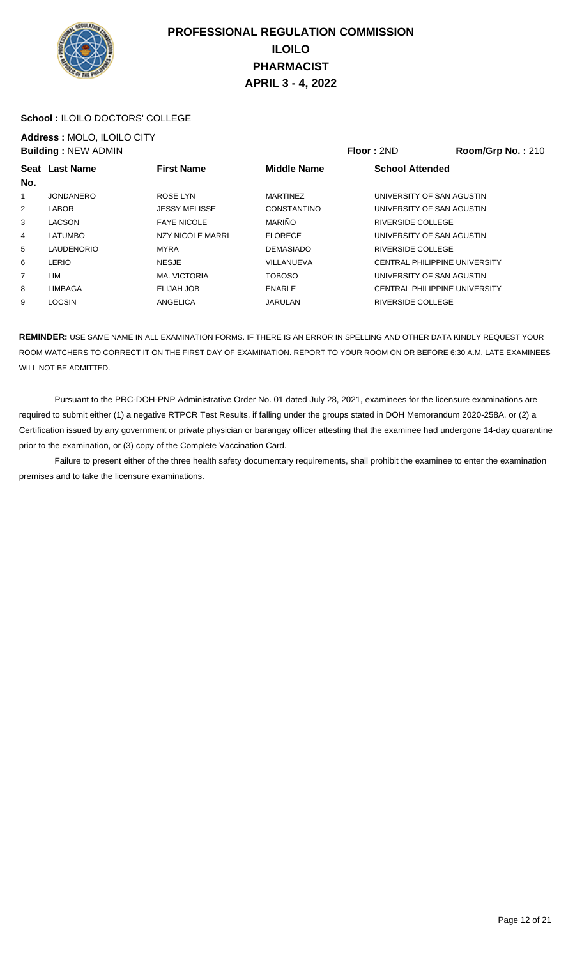

### **School :** ILOILO DOCTORS' COLLEGE

## **Address :** MOLO, ILOILO CITY

|                | <b>Building: NEW ADMIN</b> |                         |                    | Floor: 2ND                    | Room/Grp No.: 210 |
|----------------|----------------------------|-------------------------|--------------------|-------------------------------|-------------------|
|                | Seat Last Name             | <b>First Name</b>       | <b>Middle Name</b> | <b>School Attended</b>        |                   |
| No.            |                            |                         |                    |                               |                   |
|                | <b>JONDANERO</b>           | <b>ROSE LYN</b>         | <b>MARTINEZ</b>    | UNIVERSITY OF SAN AGUSTIN     |                   |
| $\overline{2}$ | LABOR                      | <b>JESSY MELISSE</b>    | CONSTANTINO        | UNIVERSITY OF SAN AGUSTIN     |                   |
| 3              | <b>LACSON</b>              | <b>FAYE NICOLE</b>      | <b>MARIÑO</b>      | RIVERSIDE COLLEGE             |                   |
| 4              | <b>LATUMBO</b>             | <b>NZY NICOLE MARRI</b> | <b>FLORECE</b>     | UNIVERSITY OF SAN AGUSTIN     |                   |
| 5              | <b>LAUDENORIO</b>          | <b>MYRA</b>             | <b>DEMASIADO</b>   | RIVERSIDE COLLEGE             |                   |
| 6              | LERIO                      | <b>NESJE</b>            | VILLANUEVA         | CENTRAL PHILIPPINE UNIVERSITY |                   |
| $\overline{7}$ | LIM                        | MA. VICTORIA            | <b>TOBOSO</b>      | UNIVERSITY OF SAN AGUSTIN     |                   |
| 8              | <b>LIMBAGA</b>             | ELIJAH JOB              | ENARLE             | CENTRAL PHILIPPINE UNIVERSITY |                   |
| 9              | <b>LOCSIN</b>              | ANGELICA                | <b>JARULAN</b>     | <b>RIVERSIDE COLLEGE</b>      |                   |
|                |                            |                         |                    |                               |                   |

**REMINDER:** USE SAME NAME IN ALL EXAMINATION FORMS. IF THERE IS AN ERROR IN SPELLING AND OTHER DATA KINDLY REQUEST YOUR ROOM WATCHERS TO CORRECT IT ON THE FIRST DAY OF EXAMINATION. REPORT TO YOUR ROOM ON OR BEFORE 6:30 A.M. LATE EXAMINEES WILL NOT BE ADMITTED.

 Pursuant to the PRC-DOH-PNP Administrative Order No. 01 dated July 28, 2021, examinees for the licensure examinations are required to submit either (1) a negative RTPCR Test Results, if falling under the groups stated in DOH Memorandum 2020-258A, or (2) a Certification issued by any government or private physician or barangay officer attesting that the examinee had undergone 14-day quarantine prior to the examination, or (3) copy of the Complete Vaccination Card.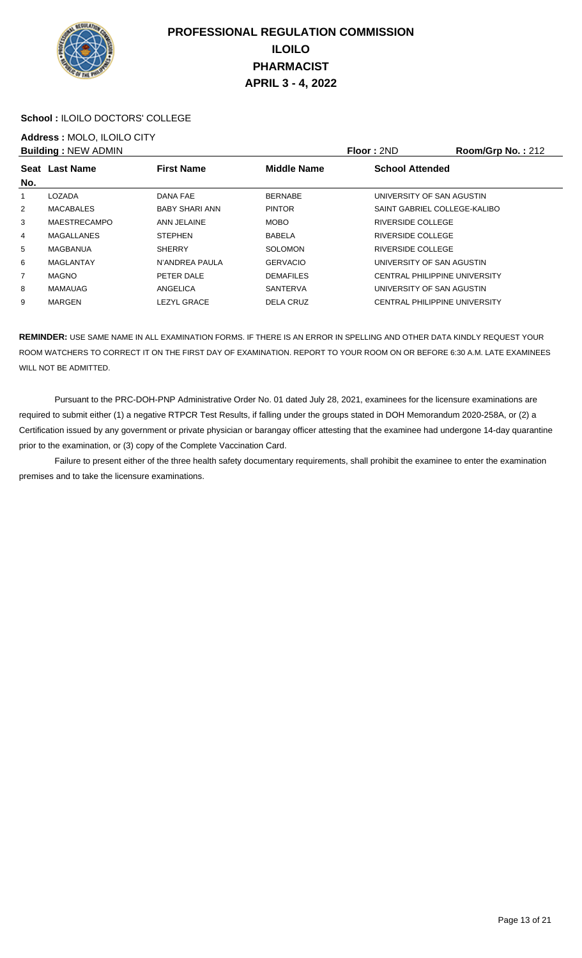

### **School :** ILOILO DOCTORS' COLLEGE

## **Address :** MOLO, ILOILO CITY

|     | <b>Building: NEW ADMIN</b> |                       |                    | Floor: 2ND                           | Room/Grp No.: 212 |
|-----|----------------------------|-----------------------|--------------------|--------------------------------------|-------------------|
| No. | Seat Last Name             | <b>First Name</b>     | <b>Middle Name</b> | <b>School Attended</b>               |                   |
|     |                            |                       |                    |                                      |                   |
|     | LOZADA                     | DANA FAE              | <b>BERNABE</b>     | UNIVERSITY OF SAN AGUSTIN            |                   |
| 2   | MACABALES                  | <b>BABY SHARI ANN</b> | <b>PINTOR</b>      | SAINT GABRIEL COLLEGE-KALIBO         |                   |
| 3   | <b>MAESTRECAMPO</b>        | ANN JELAINE           | <b>MOBO</b>        | RIVERSIDE COLLEGE                    |                   |
| 4   | <b>MAGALLANES</b>          | <b>STEPHEN</b>        | <b>BABELA</b>      | RIVERSIDE COLLEGE                    |                   |
| 5   | MAGBANUA                   | <b>SHERRY</b>         | <b>SOLOMON</b>     | RIVERSIDE COLLEGE                    |                   |
| 6   | <b>MAGLANTAY</b>           | N'ANDREA PAULA        | <b>GERVACIO</b>    | UNIVERSITY OF SAN AGUSTIN            |                   |
| 7   | <b>MAGNO</b>               | PETER DALE            | <b>DEMAFILES</b>   | CENTRAL PHILIPPINE UNIVERSITY        |                   |
| 8   | MAMAUAG                    | ANGELICA              | SANTERVA           | UNIVERSITY OF SAN AGUSTIN            |                   |
| 9   | <b>MARGEN</b>              | <b>LEZYL GRACE</b>    | <b>DELA CRUZ</b>   | <b>CENTRAL PHILIPPINE UNIVERSITY</b> |                   |
|     |                            |                       |                    |                                      |                   |

**REMINDER:** USE SAME NAME IN ALL EXAMINATION FORMS. IF THERE IS AN ERROR IN SPELLING AND OTHER DATA KINDLY REQUEST YOUR ROOM WATCHERS TO CORRECT IT ON THE FIRST DAY OF EXAMINATION. REPORT TO YOUR ROOM ON OR BEFORE 6:30 A.M. LATE EXAMINEES WILL NOT BE ADMITTED.

 Pursuant to the PRC-DOH-PNP Administrative Order No. 01 dated July 28, 2021, examinees for the licensure examinations are required to submit either (1) a negative RTPCR Test Results, if falling under the groups stated in DOH Memorandum 2020-258A, or (2) a Certification issued by any government or private physician or barangay officer attesting that the examinee had undergone 14-day quarantine prior to the examination, or (3) copy of the Complete Vaccination Card.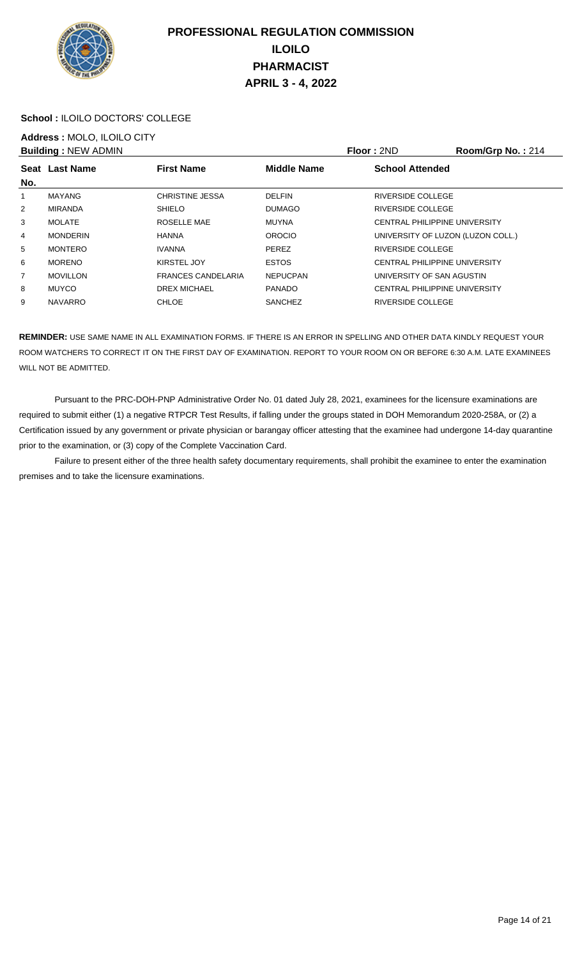

### **School :** ILOILO DOCTORS' COLLEGE

## **Address :** MOLO, ILOILO CITY

|                | <b>Building: NEW ADMIN</b> |                           |                    | Floor: 2ND                           | Room/Grp No.: 214 |
|----------------|----------------------------|---------------------------|--------------------|--------------------------------------|-------------------|
|                | Seat Last Name             | <b>First Name</b>         | <b>Middle Name</b> | <b>School Attended</b>               |                   |
| No.            |                            |                           |                    |                                      |                   |
|                | <b>MAYANG</b>              | <b>CHRISTINE JESSA</b>    | <b>DELFIN</b>      | RIVERSIDE COLLEGE                    |                   |
| $\overline{2}$ | <b>MIRANDA</b>             | <b>SHIELO</b>             | <b>DUMAGO</b>      | <b>RIVERSIDE COLLEGE</b>             |                   |
| 3              | <b>MOLATE</b>              | ROSELLE MAE               | <b>MUYNA</b>       | <b>CENTRAL PHILIPPINE UNIVERSITY</b> |                   |
| 4              | <b>MONDERIN</b>            | <b>HANNA</b>              | <b>OROCIO</b>      | UNIVERSITY OF LUZON (LUZON COLL.)    |                   |
| 5              | <b>MONTERO</b>             | <b>IVANNA</b>             | <b>PEREZ</b>       | RIVERSIDE COLLEGE                    |                   |
| 6              | <b>MORENO</b>              | KIRSTEL JOY               | <b>ESTOS</b>       | CENTRAL PHILIPPINE UNIVERSITY        |                   |
| $\overline{7}$ | <b>MOVILLON</b>            | <b>FRANCES CANDELARIA</b> | <b>NEPUCPAN</b>    | UNIVERSITY OF SAN AGUSTIN            |                   |
| 8              | <b>MUYCO</b>               | <b>DREX MICHAEL</b>       | <b>PANADO</b>      | CENTRAL PHILIPPINE UNIVERSITY        |                   |
| 9              | <b>NAVARRO</b>             | <b>CHLOE</b>              | <b>SANCHEZ</b>     | RIVERSIDE COLLEGE                    |                   |
|                |                            |                           |                    |                                      |                   |

**REMINDER:** USE SAME NAME IN ALL EXAMINATION FORMS. IF THERE IS AN ERROR IN SPELLING AND OTHER DATA KINDLY REQUEST YOUR ROOM WATCHERS TO CORRECT IT ON THE FIRST DAY OF EXAMINATION. REPORT TO YOUR ROOM ON OR BEFORE 6:30 A.M. LATE EXAMINEES WILL NOT BE ADMITTED.

 Pursuant to the PRC-DOH-PNP Administrative Order No. 01 dated July 28, 2021, examinees for the licensure examinations are required to submit either (1) a negative RTPCR Test Results, if falling under the groups stated in DOH Memorandum 2020-258A, or (2) a Certification issued by any government or private physician or barangay officer attesting that the examinee had undergone 14-day quarantine prior to the examination, or (3) copy of the Complete Vaccination Card.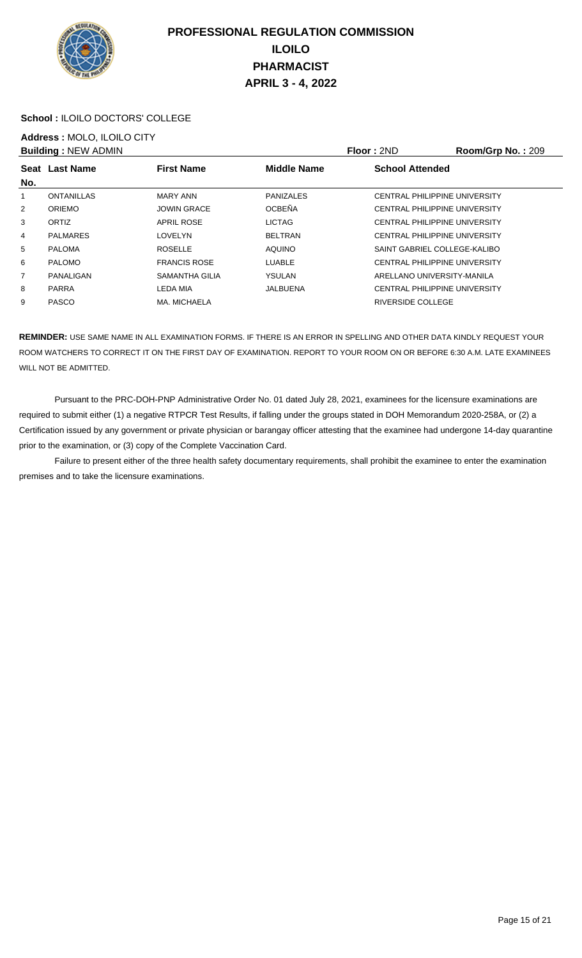

### **School :** ILOILO DOCTORS' COLLEGE

## **Address :** MOLO, ILOILO CITY

|                | <b>Building: NEW ADMIN</b> |                     |                    | <b>Floor: 2ND</b>             | Room/Grp No.: 209 |
|----------------|----------------------------|---------------------|--------------------|-------------------------------|-------------------|
|                | Seat Last Name             | <b>First Name</b>   | <b>Middle Name</b> | <b>School Attended</b>        |                   |
| No.            |                            |                     |                    |                               |                   |
| 1              | <b>ONTANILLAS</b>          | <b>MARY ANN</b>     | <b>PANIZALES</b>   | CENTRAL PHILIPPINE UNIVERSITY |                   |
| 2              | <b>ORIEMO</b>              | <b>JOWIN GRACE</b>  | <b>OCBEÑA</b>      | CENTRAL PHILIPPINE UNIVERSITY |                   |
| 3              | ORTIZ                      | <b>APRIL ROSE</b>   | <b>LICTAG</b>      | CENTRAL PHILIPPINE UNIVERSITY |                   |
| 4              | <b>PALMARES</b>            | LOVELYN             | <b>BELTRAN</b>     | CENTRAL PHILIPPINE UNIVERSITY |                   |
| 5              | <b>PALOMA</b>              | <b>ROSELLE</b>      | <b>AQUINO</b>      | SAINT GABRIEL COLLEGE-KALIBO  |                   |
| 6              | <b>PALOMO</b>              | <b>FRANCIS ROSE</b> | LUABLE             | CENTRAL PHILIPPINE UNIVERSITY |                   |
| $\overline{7}$ | PANALIGAN                  | SAMANTHA GILIA      | YSULAN             | ARELLANO UNIVERSITY-MANILA    |                   |
| 8              | <b>PARRA</b>               | LEDA MIA            | JALBUENA           | CENTRAL PHILIPPINE UNIVERSITY |                   |
| 9              | <b>PASCO</b>               | MA. MICHAELA        |                    | RIVERSIDE COLLEGE             |                   |
|                |                            |                     |                    |                               |                   |

**REMINDER:** USE SAME NAME IN ALL EXAMINATION FORMS. IF THERE IS AN ERROR IN SPELLING AND OTHER DATA KINDLY REQUEST YOUR ROOM WATCHERS TO CORRECT IT ON THE FIRST DAY OF EXAMINATION. REPORT TO YOUR ROOM ON OR BEFORE 6:30 A.M. LATE EXAMINEES WILL NOT BE ADMITTED.

 Pursuant to the PRC-DOH-PNP Administrative Order No. 01 dated July 28, 2021, examinees for the licensure examinations are required to submit either (1) a negative RTPCR Test Results, if falling under the groups stated in DOH Memorandum 2020-258A, or (2) a Certification issued by any government or private physician or barangay officer attesting that the examinee had undergone 14-day quarantine prior to the examination, or (3) copy of the Complete Vaccination Card.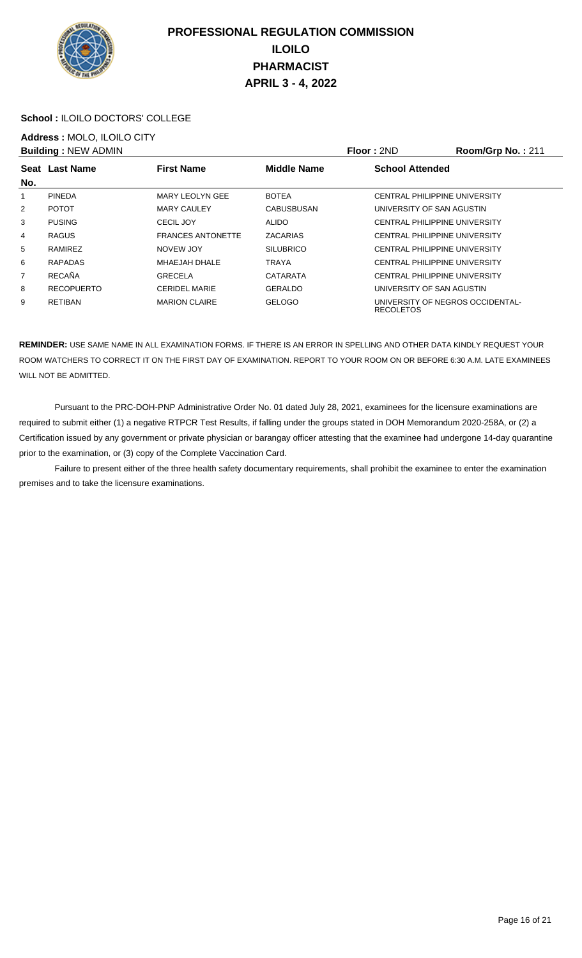

### **School :** ILOILO DOCTORS' COLLEGE

## **Address :** MOLO, ILOILO CITY

|                | <b>Building: NEW ADMIN</b> |                          |                    | Floor: 2ND                                           | Room/Grp No.: 211 |
|----------------|----------------------------|--------------------------|--------------------|------------------------------------------------------|-------------------|
|                | Seat Last Name             | <b>First Name</b>        | <b>Middle Name</b> | <b>School Attended</b>                               |                   |
| No.            |                            |                          |                    |                                                      |                   |
|                | <b>PINEDA</b>              | <b>MARY LEOLYN GEE</b>   | <b>BOTEA</b>       | CENTRAL PHILIPPINE UNIVERSITY                        |                   |
| $\overline{2}$ | <b>POTOT</b>               | <b>MARY CAULEY</b>       | <b>CABUSBUSAN</b>  | UNIVERSITY OF SAN AGUSTIN                            |                   |
| 3              | <b>PUSING</b>              | CECIL JOY                | <b>ALIDO</b>       | CENTRAL PHILIPPINE UNIVERSITY                        |                   |
| 4              | <b>RAGUS</b>               | <b>FRANCES ANTONETTE</b> | <b>ZACARIAS</b>    | CENTRAL PHILIPPINE UNIVERSITY                        |                   |
| 5              | RAMIREZ                    | NOVEW JOY                | <b>SILUBRICO</b>   | CENTRAL PHILIPPINE UNIVERSITY                        |                   |
| 6              | <b>RAPADAS</b>             | MHAEJAH DHALE            | <b>TRAYA</b>       | CENTRAL PHILIPPINE UNIVERSITY                        |                   |
| 7              | <b>RECAÑA</b>              | <b>GRECELA</b>           | <b>CATARATA</b>    | CENTRAL PHILIPPINE UNIVERSITY                        |                   |
| 8              | <b>RECOPUERTO</b>          | <b>CERIDEL MARIE</b>     | <b>GERALDO</b>     | UNIVERSITY OF SAN AGUSTIN                            |                   |
| 9              | <b>RETIBAN</b>             | <b>MARION CLAIRE</b>     | <b>GELOGO</b>      | UNIVERSITY OF NEGROS OCCIDENTAL-<br><b>RECOLETOS</b> |                   |

**REMINDER:** USE SAME NAME IN ALL EXAMINATION FORMS. IF THERE IS AN ERROR IN SPELLING AND OTHER DATA KINDLY REQUEST YOUR ROOM WATCHERS TO CORRECT IT ON THE FIRST DAY OF EXAMINATION. REPORT TO YOUR ROOM ON OR BEFORE 6:30 A.M. LATE EXAMINEES WILL NOT BE ADMITTED.

 Pursuant to the PRC-DOH-PNP Administrative Order No. 01 dated July 28, 2021, examinees for the licensure examinations are required to submit either (1) a negative RTPCR Test Results, if falling under the groups stated in DOH Memorandum 2020-258A, or (2) a Certification issued by any government or private physician or barangay officer attesting that the examinee had undergone 14-day quarantine prior to the examination, or (3) copy of the Complete Vaccination Card.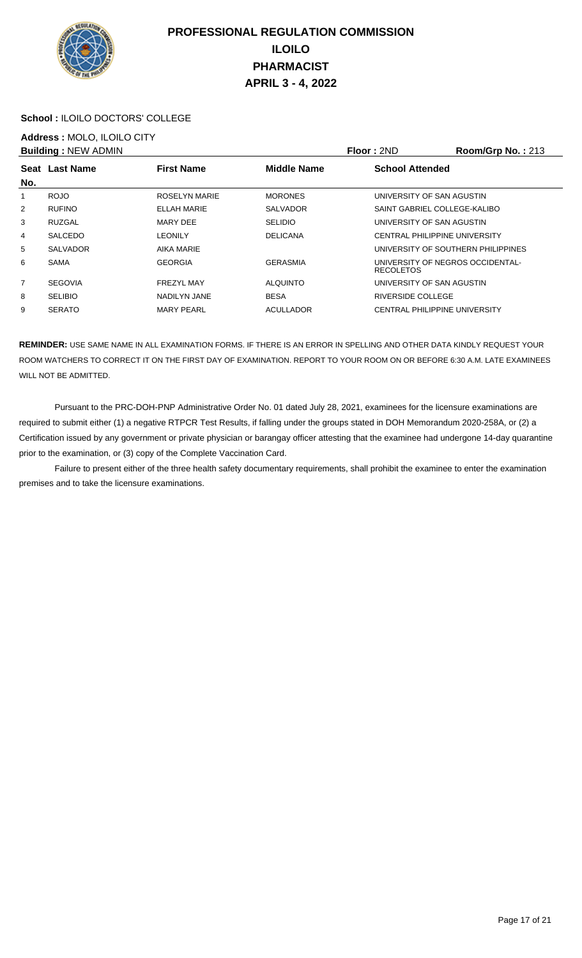

#### **School :** ILOILO DOCTORS' COLLEGE

## **Address :** MOLO, ILOILO CITY

|     | <b>Building: NEW ADMIN</b> |                    |                    | Floor: 2ND                                           | <b>Room/Grp No.: 213</b> |
|-----|----------------------------|--------------------|--------------------|------------------------------------------------------|--------------------------|
|     | Seat Last Name             | <b>First Name</b>  | <b>Middle Name</b> | <b>School Attended</b>                               |                          |
| No. |                            |                    |                    |                                                      |                          |
|     | <b>ROJO</b>                | ROSELYN MARIE      | <b>MORONES</b>     | UNIVERSITY OF SAN AGUSTIN                            |                          |
| 2   | <b>RUFINO</b>              | <b>ELLAH MARIE</b> | <b>SALVADOR</b>    | SAINT GABRIEL COLLEGE-KALIBO                         |                          |
| 3   | <b>RUZGAL</b>              | MARY DEE           | <b>SELIDIO</b>     | UNIVERSITY OF SAN AGUSTIN                            |                          |
| 4   | <b>SALCEDO</b>             | LEONILY            | <b>DELICANA</b>    | CENTRAL PHILIPPINE UNIVERSITY                        |                          |
| 5   | <b>SALVADOR</b>            | <b>AIKA MARIE</b>  |                    | UNIVERSITY OF SOUTHERN PHILIPPINES                   |                          |
| 6   | <b>SAMA</b>                | <b>GEORGIA</b>     | <b>GERASMIA</b>    | UNIVERSITY OF NEGROS OCCIDENTAL-<br><b>RECOLETOS</b> |                          |
| 7   | <b>SEGOVIA</b>             | <b>FREZYL MAY</b>  | <b>ALQUINTO</b>    | UNIVERSITY OF SAN AGUSTIN                            |                          |
| 8   | <b>SELIBIO</b>             | NADILYN JANE       | <b>BESA</b>        | RIVERSIDE COLLEGE                                    |                          |
| 9   | <b>SERATO</b>              | <b>MARY PEARL</b>  | <b>ACULLADOR</b>   | <b>CENTRAL PHILIPPINE UNIVERSITY</b>                 |                          |

**REMINDER:** USE SAME NAME IN ALL EXAMINATION FORMS. IF THERE IS AN ERROR IN SPELLING AND OTHER DATA KINDLY REQUEST YOUR ROOM WATCHERS TO CORRECT IT ON THE FIRST DAY OF EXAMINATION. REPORT TO YOUR ROOM ON OR BEFORE 6:30 A.M. LATE EXAMINEES WILL NOT BE ADMITTED.

 Pursuant to the PRC-DOH-PNP Administrative Order No. 01 dated July 28, 2021, examinees for the licensure examinations are required to submit either (1) a negative RTPCR Test Results, if falling under the groups stated in DOH Memorandum 2020-258A, or (2) a Certification issued by any government or private physician or barangay officer attesting that the examinee had undergone 14-day quarantine prior to the examination, or (3) copy of the Complete Vaccination Card.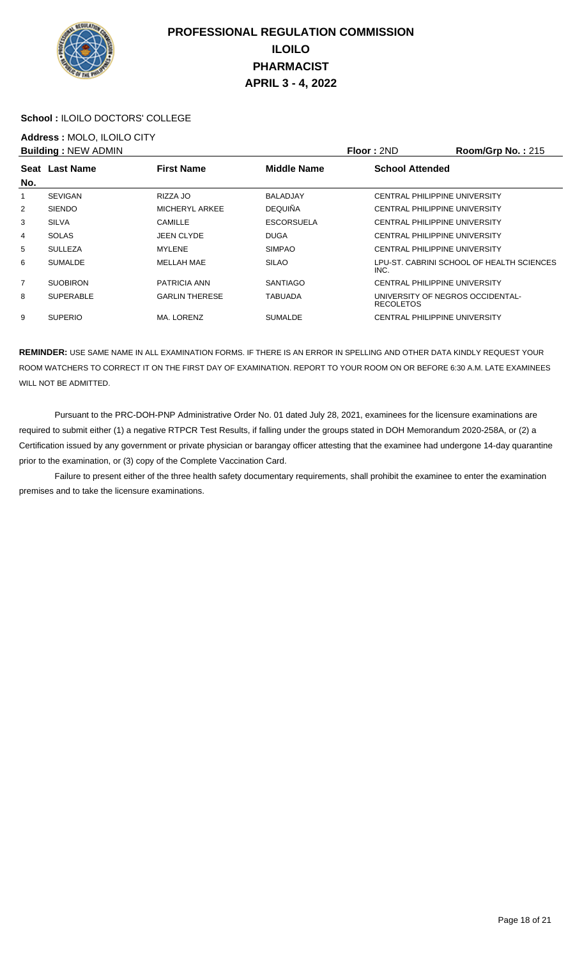

#### **School :** ILOILO DOCTORS' COLLEGE

## **Address :** MOLO, ILOILO CITY

|                | <b>Building: NEW ADMIN</b> |                       |                    | Floor: 2ND                                           | Room/Grp No.: 215                         |
|----------------|----------------------------|-----------------------|--------------------|------------------------------------------------------|-------------------------------------------|
| No.            | Seat Last Name             | <b>First Name</b>     | <b>Middle Name</b> | <b>School Attended</b>                               |                                           |
| 1              | <b>SEVIGAN</b>             | RIZZA JO              | <b>BALADJAY</b>    | CENTRAL PHILIPPINE UNIVERSITY                        |                                           |
| 2              | <b>SIENDO</b>              | MICHERYL ARKEE        | <b>DEQUIÑA</b>     | <b>CENTRAL PHILIPPINE UNIVERSITY</b>                 |                                           |
| 3              | <b>SILVA</b>               | CAMILLE               | <b>ESCORSUELA</b>  | <b>CENTRAL PHILIPPINE UNIVERSITY</b>                 |                                           |
| 4              | <b>SOLAS</b>               | <b>JEEN CLYDE</b>     | <b>DUGA</b>        | <b>CENTRAL PHILIPPINE UNIVERSITY</b>                 |                                           |
| 5              | <b>SULLEZA</b>             | <b>MYLENE</b>         | <b>SIMPAO</b>      | CENTRAL PHILIPPINE UNIVERSITY                        |                                           |
| 6              | <b>SUMALDE</b>             | MELLAH MAE            | <b>SILAO</b>       | INC.                                                 | LPU-ST. CABRINI SCHOOL OF HEALTH SCIENCES |
| $\overline{7}$ | <b>SUOBIRON</b>            | <b>PATRICIA ANN</b>   | <b>SANTIAGO</b>    | <b>CENTRAL PHILIPPINE UNIVERSITY</b>                 |                                           |
| 8              | <b>SUPERABLE</b>           | <b>GARLIN THERESE</b> | <b>TABUADA</b>     | UNIVERSITY OF NEGROS OCCIDENTAL-<br><b>RECOLETOS</b> |                                           |
| 9              | <b>SUPERIO</b>             | MA. LORENZ            | <b>SUMALDE</b>     | <b>CENTRAL PHILIPPINE UNIVERSITY</b>                 |                                           |

**REMINDER:** USE SAME NAME IN ALL EXAMINATION FORMS. IF THERE IS AN ERROR IN SPELLING AND OTHER DATA KINDLY REQUEST YOUR ROOM WATCHERS TO CORRECT IT ON THE FIRST DAY OF EXAMINATION. REPORT TO YOUR ROOM ON OR BEFORE 6:30 A.M. LATE EXAMINEES WILL NOT BE ADMITTED.

 Pursuant to the PRC-DOH-PNP Administrative Order No. 01 dated July 28, 2021, examinees for the licensure examinations are required to submit either (1) a negative RTPCR Test Results, if falling under the groups stated in DOH Memorandum 2020-258A, or (2) a Certification issued by any government or private physician or barangay officer attesting that the examinee had undergone 14-day quarantine prior to the examination, or (3) copy of the Complete Vaccination Card.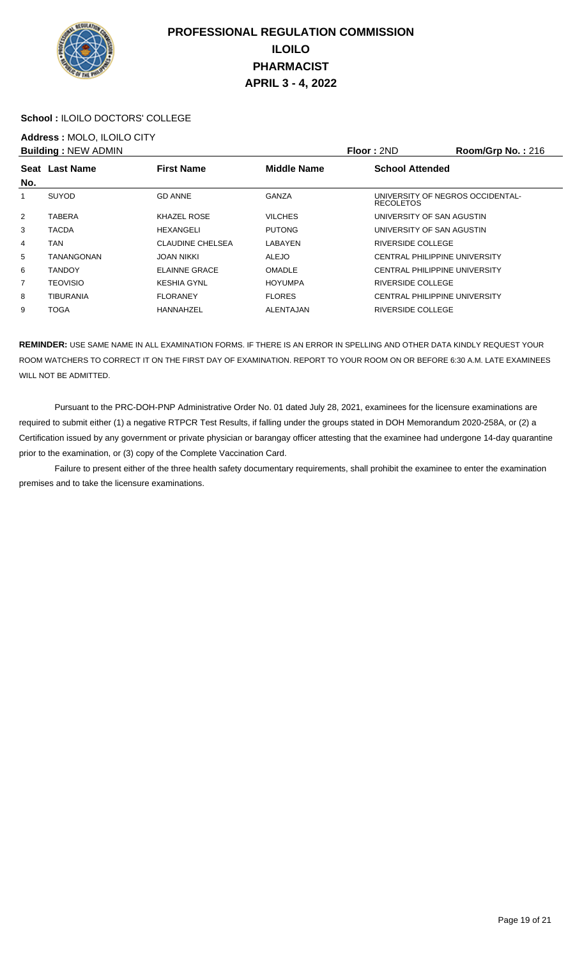

### **School :** ILOILO DOCTORS' COLLEGE

## **Address :** MOLO, ILOILO CITY

|                | <b>Building: NEW ADMIN</b> |                         |                    | Floor: 2ND                                           | Room/Grp No.: $216$ |
|----------------|----------------------------|-------------------------|--------------------|------------------------------------------------------|---------------------|
|                | Seat Last Name             | <b>First Name</b>       | <b>Middle Name</b> | <b>School Attended</b>                               |                     |
| No.            |                            |                         |                    |                                                      |                     |
| 1              | <b>SUYOD</b>               | <b>GD ANNE</b>          | GANZA              | UNIVERSITY OF NEGROS OCCIDENTAL-<br><b>RECOLETOS</b> |                     |
| $\overline{2}$ | TABERA                     | KHAZEL ROSE             | <b>VILCHES</b>     | UNIVERSITY OF SAN AGUSTIN                            |                     |
| 3              | <b>TACDA</b>               | HEXANGELI               | <b>PUTONG</b>      | UNIVERSITY OF SAN AGUSTIN                            |                     |
| 4              | TAN                        | <b>CLAUDINE CHELSEA</b> | LABAYEN            | RIVERSIDE COLLEGE                                    |                     |
| 5              | TANANGONAN                 | JOAN NIKKI              | <b>ALEJO</b>       | <b>CENTRAL PHILIPPINE UNIVERSITY</b>                 |                     |
| 6              | <b>TANDOY</b>              | <b>ELAINNE GRACE</b>    | <b>OMADLE</b>      | CENTRAL PHILIPPINE UNIVERSITY                        |                     |
| 7              | <b>TEOVISIO</b>            | <b>KESHIA GYNL</b>      | <b>HOYUMPA</b>     | RIVERSIDE COLLEGE                                    |                     |
| 8              | <b>TIBURANIA</b>           | <b>FLORANEY</b>         | <b>FLORES</b>      | <b>CENTRAL PHILIPPINE UNIVERSITY</b>                 |                     |
| 9              | <b>TOGA</b>                | HANNAHZEL               | ALENTAJAN          | RIVERSIDE COLLEGE                                    |                     |

**REMINDER:** USE SAME NAME IN ALL EXAMINATION FORMS. IF THERE IS AN ERROR IN SPELLING AND OTHER DATA KINDLY REQUEST YOUR ROOM WATCHERS TO CORRECT IT ON THE FIRST DAY OF EXAMINATION. REPORT TO YOUR ROOM ON OR BEFORE 6:30 A.M. LATE EXAMINEES WILL NOT BE ADMITTED.

 Pursuant to the PRC-DOH-PNP Administrative Order No. 01 dated July 28, 2021, examinees for the licensure examinations are required to submit either (1) a negative RTPCR Test Results, if falling under the groups stated in DOH Memorandum 2020-258A, or (2) a Certification issued by any government or private physician or barangay officer attesting that the examinee had undergone 14-day quarantine prior to the examination, or (3) copy of the Complete Vaccination Card.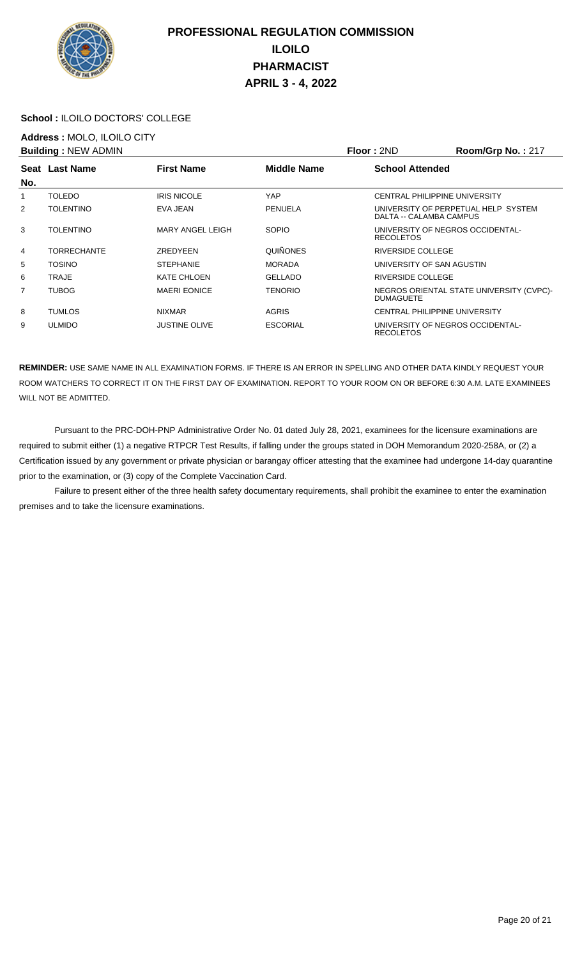

### **School :** ILOILO DOCTORS' COLLEGE

## **Address :** MOLO, ILOILO CITY

| <b>Building: NEW ADMIN</b> |                    |                      |                    | Floor: 2ND                           | Room/Grp No.: 217                        |
|----------------------------|--------------------|----------------------|--------------------|--------------------------------------|------------------------------------------|
|                            | Seat Last Name     | <b>First Name</b>    | <b>Middle Name</b> | <b>School Attended</b>               |                                          |
| No.                        |                    |                      |                    |                                      |                                          |
| 1                          | <b>TOLEDO</b>      | <b>IRIS NICOLE</b>   | YAP                | <b>CENTRAL PHILIPPINE UNIVERSITY</b> |                                          |
| $\overline{2}$             | <b>TOLENTINO</b>   | EVA JEAN             | PENUELA            | DALTA -- CALAMBA CAMPUS              | UNIVERSITY OF PERPETUAL HELP SYSTEM      |
| 3                          | <b>TOLENTINO</b>   | MARY ANGEL LEIGH     | <b>SOPIO</b>       | <b>RECOLETOS</b>                     | UNIVERSITY OF NEGROS OCCIDENTAL-         |
| 4                          | <b>TORRECHANTE</b> | ZREDYEEN             | <b>QUIÑONES</b>    | RIVERSIDE COLLEGE                    |                                          |
| 5                          | <b>TOSINO</b>      | <b>STEPHANIE</b>     | <b>MORADA</b>      | UNIVERSITY OF SAN AGUSTIN            |                                          |
| 6                          | TRAJE              | <b>KATE CHLOEN</b>   | <b>GELLADO</b>     | RIVERSIDE COLLEGE                    |                                          |
| 7                          | <b>TUBOG</b>       | <b>MAERI EONICE</b>  | <b>TENORIO</b>     | <b>DUMAGUETE</b>                     | NEGROS ORIENTAL STATE UNIVERSITY (CVPC)- |
| 8                          | <b>TUMLOS</b>      | <b>NIXMAR</b>        | <b>AGRIS</b>       | <b>CENTRAL PHILIPPINE UNIVERSITY</b> |                                          |
| 9                          | <b>ULMIDO</b>      | <b>JUSTINE OLIVE</b> | <b>ESCORIAL</b>    | <b>RECOLETOS</b>                     | UNIVERSITY OF NEGROS OCCIDENTAL-         |

**REMINDER:** USE SAME NAME IN ALL EXAMINATION FORMS. IF THERE IS AN ERROR IN SPELLING AND OTHER DATA KINDLY REQUEST YOUR ROOM WATCHERS TO CORRECT IT ON THE FIRST DAY OF EXAMINATION. REPORT TO YOUR ROOM ON OR BEFORE 6:30 A.M. LATE EXAMINEES WILL NOT BE ADMITTED.

 Pursuant to the PRC-DOH-PNP Administrative Order No. 01 dated July 28, 2021, examinees for the licensure examinations are required to submit either (1) a negative RTPCR Test Results, if falling under the groups stated in DOH Memorandum 2020-258A, or (2) a Certification issued by any government or private physician or barangay officer attesting that the examinee had undergone 14-day quarantine prior to the examination, or (3) copy of the Complete Vaccination Card.